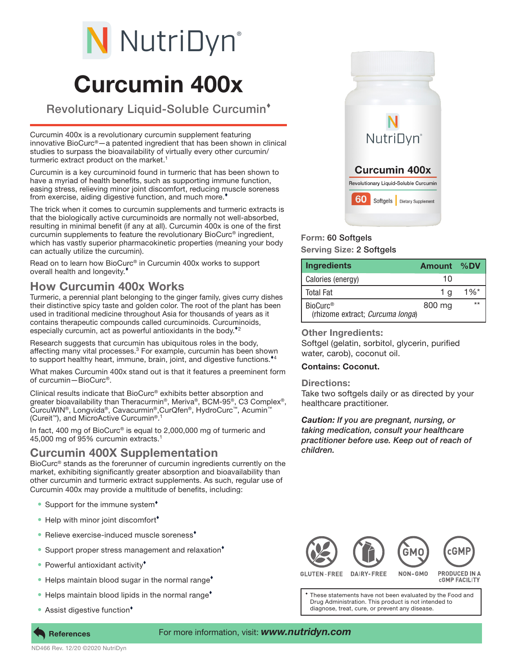# N NutriDyn®

## Curcumin 400x

Revolutionary Liquid-Soluble Curcumin

Curcumin 400x is a revolutionary curcumin supplement featuring innovative BioCurc®—a patented ingredient that has been shown in clinical studies to surpass the bioavailability of virtually every other curcumin/ turmeric extract product on the market.<sup>1</sup>

Curcumin is a key curcuminoid found in turmeric that has been shown to have a myriad of health benefits, such as supporting immune function, easing stress, relieving minor joint discomfort, reducing muscle soreness from exercise, aiding digestive function, and much more.

The trick when it comes to curcumin supplements and turmeric extracts is that the biologically active curcuminoids are normally not well-absorbed, resulting in minimal benefit (if any at all). Curcumin 400x is one of the first curcumin supplements to feature the revolutionary BioCurc® ingredient, which has vastly superior pharmacokinetic properties (meaning your body can actually utilize the curcumin).

Read on to learn how BioCurc® in Curcumin 400x works to support overall health and longevity.

### How Curcumin 400x Works

Turmeric, a perennial plant belonging to the ginger family, gives curry dishes their distinctive spicy taste and golden color. The root of the plant has been used in traditional medicine throughout Asia for thousands of years as it contains therapeutic compounds called curcuminoids. Curcuminoids, especially curcumin, act as powerful antioxidants in the body. $^*$ 

Research suggests that curcumin has ubiquitous roles in the body, affecting many vital processes.<sup>3</sup> For example, curcumin has been shown to support healthy heart, immune, brain, joint, and digestive functions.<sup>\*4</sup>

What makes Curcumin 400x stand out is that it features a preeminent form of curcumin—BioCurc®.

Clinical results indicate that BioCurc® exhibits better absorption and greater bioavailability than Theracurmin®, Meriva®, BCM-95®, C3 Complex®, CurcuWIN®, Longvida®, Cavacurmin®,CurQfen®, HydroCurc™, Acumin™ (Cureit<sup>™</sup>), and MicroActive Curcumin<sup>® 1</sup>

In fact, 400 mg of BioCurc® is equal to 2,000,000 mg of turmeric and 45,000 mg of 95% curcumin extracts.1

#### Curcumin 400X Supplementation

BioCurc® stands as the forerunner of curcumin ingredients currently on the market, exhibiting significantly greater absorption and bioavailability than other curcumin and turmeric extract supplements. As such, regular use of Curcumin 400x may provide a multitude of benefits, including:

- Support for the immune system<sup>+</sup>
- Help with minor joint discomfort<sup>\*</sup>
- Relieve exercise-induced muscle soreness<sup>\*</sup>
- Support proper stress management and relaxation<sup>\*</sup>
- Powerful antioxidant activity<sup>\*</sup>
- Helps maintain blood sugar in the normal range<sup>\*</sup>
- Helps maintain blood lipids in the normal range<sup>\*</sup>
- Assist digestive function<sup>\*</sup>



#### Form: 60 Softgels Serving Size: 2 Softgels

| Ingredients                                              | <b>Amount</b> | $\%$ DV            |
|----------------------------------------------------------|---------------|--------------------|
| Calories (energy)                                        | 10            |                    |
| <b>Total Fat</b>                                         | 1 a           | $1\%$ <sup>*</sup> |
| BioCurc <sup>®</sup><br>(rhizome extract; Curcuma longa) | 800 mg        | $**$               |

**Other Ingredients:** Softgel (gelatin, sorbitol, glycerin, purified water, carob), coconut oil.

#### Contains: Coconut.

Directions:

Take two softgels daily or as directed by your healthcare practitioner.

*Caution: If you are pregnant, nursing, or taking medication, consult your healthcare practitioner before use. Keep out of reach of children.*



**CGMP FACILITY** 

These statements have not been evaluated by the Food and Drug Administration. This product is not intended to diagnose, treat, cure, or prevent any disease.

#### For more information, visit: *www.nutridyn.com*

**References**